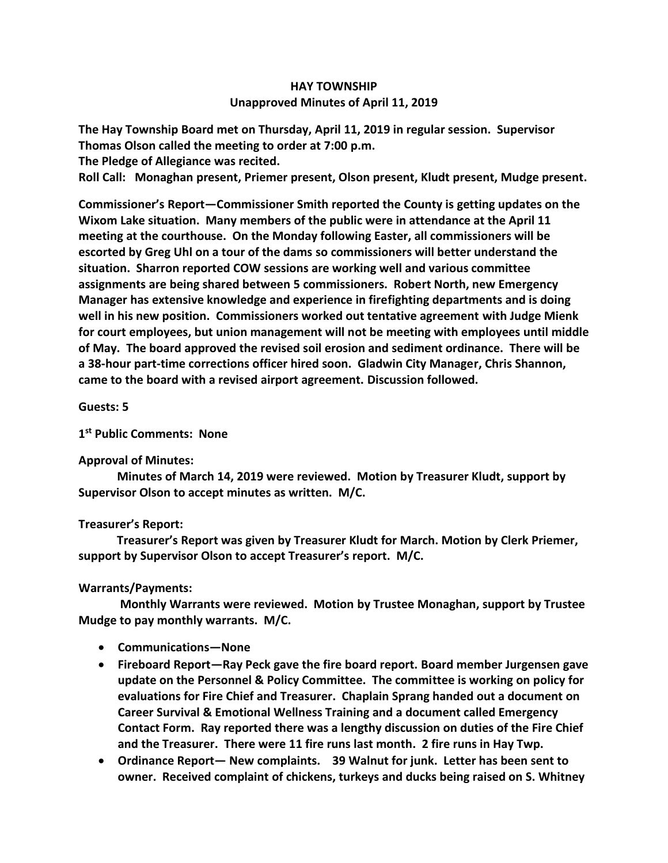# **HAY TOWNSHIP Unapproved Minutes of April 11, 2019**

**The Hay Township Board met on Thursday, April 11, 2019 in regular session. Supervisor Thomas Olson called the meeting to order at 7:00 p.m.** 

**The Pledge of Allegiance was recited.** 

**Roll Call: Monaghan present, Priemer present, Olson present, Kludt present, Mudge present.**

**Commissioner's Report—Commissioner Smith reported the County is getting updates on the Wixom Lake situation. Many members of the public were in attendance at the April 11 meeting at the courthouse. On the Monday following Easter, all commissioners will be escorted by Greg Uhl on a tour of the dams so commissioners will better understand the situation. Sharron reported COW sessions are working well and various committee assignments are being shared between 5 commissioners. Robert North, new Emergency Manager has extensive knowledge and experience in firefighting departments and is doing well in his new position. Commissioners worked out tentative agreement with Judge Mienk for court employees, but union management will not be meeting with employees until middle of May. The board approved the revised soil erosion and sediment ordinance. There will be a 38-hour part-time corrections officer hired soon. Gladwin City Manager, Chris Shannon, came to the board with a revised airport agreement. Discussion followed.**

# **Guests: 5**

# **1 st Public Comments: None**

#### **Approval of Minutes:**

 **Minutes of March 14, 2019 were reviewed. Motion by Treasurer Kludt, support by Supervisor Olson to accept minutes as written. M/C.**

# **Treasurer's Report:**

 **Treasurer's Report was given by Treasurer Kludt for March. Motion by Clerk Priemer, support by Supervisor Olson to accept Treasurer's report. M/C.**

# **Warrants/Payments:**

 **Monthly Warrants were reviewed. Motion by Trustee Monaghan, support by Trustee Mudge to pay monthly warrants. M/C.** 

- **Communications—None**
- **Fireboard Report—Ray Peck gave the fire board report. Board member Jurgensen gave update on the Personnel & Policy Committee. The committee is working on policy for evaluations for Fire Chief and Treasurer. Chaplain Sprang handed out a document on Career Survival & Emotional Wellness Training and a document called Emergency Contact Form. Ray reported there was a lengthy discussion on duties of the Fire Chief and the Treasurer. There were 11 fire runs last month. 2 fire runs in Hay Twp.**
- **Ordinance Report— New complaints. 39 Walnut for junk. Letter has been sent to owner. Received complaint of chickens, turkeys and ducks being raised on S. Whitney**